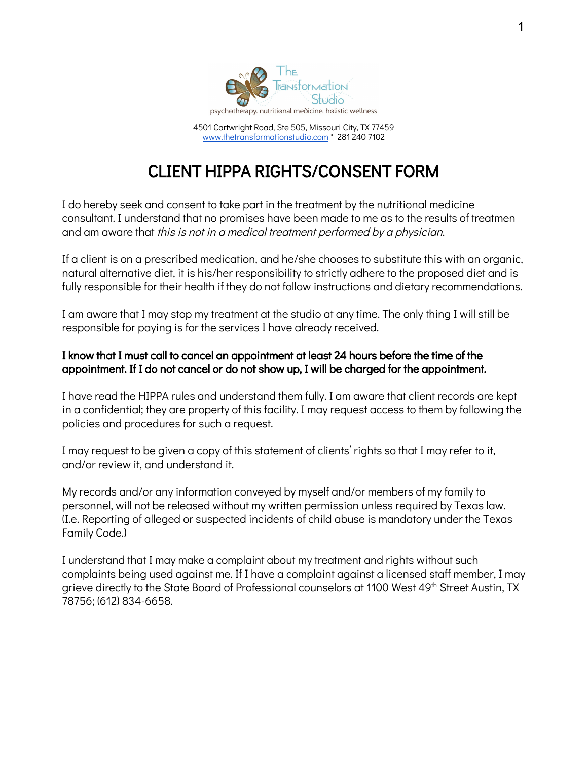

4501 Cartwright Road, Ste 505, Missouri City, TX 77459 [www.thetransformationstudio.com](http://www.thetransformationstudio.com/) \* 281 240 710[2](http://www.transformationcounselingcenter.com/)

## CLIENT HIPPA RIGHTS/CONSENT FORM

I do hereby seek and consent to take part in the treatment by the nutritional medicine consultant. I understand that no promises have been made to me as to the results of treatmen and am aware that this is not in a medical treatment performed by a physician.

If a client is on a prescribed medication, and he/she chooses to substitute this with an organic, natural alternative diet, it is his/her responsibility to strictly adhere to the proposed diet and is fully responsible for their health if they do not follow instructions and dietary recommendations.

I am aware that I may stop my treatment at the studio at any time. The only thing I will still be responsible for paying is for the services I have already received.

## I know that I must call to cancel an appointment at least 24 hours before the time of the appointment. If I do not cancel or do not show up, I will be charged for the appointment.

I have read the HIPPA rules and understand them fully. I am aware that client records are kept in a confidential; they are property of this facility. I may request access to them by following the policies and procedures for such a request.

I may request to be given a copy of this statement of clients' rights so that I may refer to it, and/or review it, and understand it.

My records and/or any information conveyed by myself and/or members of my family to personnel, will not be released without my written permission unless required by Texas law. (I.e. Reporting of alleged or suspected incidents of child abuse is mandatory under the Texas Family Code.)

I understand that I may make a complaint about my treatment and rights without such complaints being used against me. If I have a complaint against a licensed staff member, I may grieve directly to the State Board of Professional counselors at 1100 West 49<sup>th</sup> Street Austin, TX 78756; (612) 834-6658.